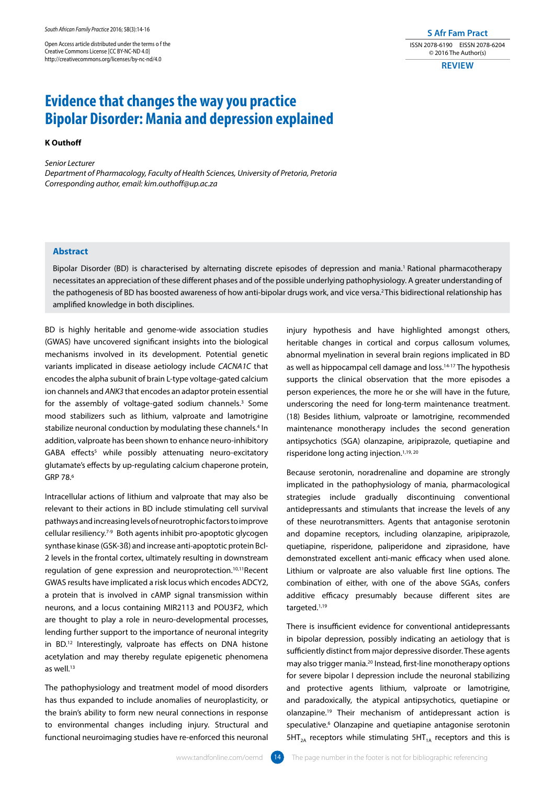Open Access article distributed under the terms o f the Creative Commons License [CC BY-NC-ND 4.0] http://creativecommons.org/licenses/by-nc-nd/4.0

**S Afr Fam Pract** ISSN 2078-6190 EISSN 2078-6204 © 2016 The Author(s)

**REVIEW**

# **Evidence that changes the way you practice Bipolar Disorder: Mania and depression explained**

## **K Outhoff**

*Senior Lecturer*

*Department of Pharmacology, Faculty of Health Sciences, University of Pretoria, Pretoria Corresponding author, email: kim.outhoff@up.ac.za*

## **Abstract**

Bipolar Disorder (BD) is characterised by alternating discrete episodes of depression and mania.1 Rational pharmacotherapy necessitates an appreciation of these different phases and of the possible underlying pathophysiology. A greater understanding of the pathogenesis of BD has boosted awareness of how anti-bipolar drugs work, and vice versa.<sup>2</sup> This bidirectional relationship has amplified knowledge in both disciplines.

BD is highly heritable and genome-wide association studies (GWAS) have uncovered significant insights into the biological mechanisms involved in its development. Potential genetic variants implicated in disease aetiology include *CACNA1C* that encodes the alpha subunit of brain L-type voltage-gated calcium ion channels and *ANK3* that encodes an adaptor protein essential for the assembly of voltage-gated sodium channels.<sup>3</sup> Some mood stabilizers such as lithium, valproate and lamotrigine stabilize neuronal conduction by modulating these channels.<sup>4</sup> In addition, valproate has been shown to enhance neuro-inhibitory GABA effects<sup>5</sup> while possibly attenuating neuro-excitatory glutamate's effects by up-regulating calcium chaperone protein, GRP 78.6

Intracellular actions of lithium and valproate that may also be relevant to their actions in BD include stimulating cell survival pathways and increasing levels of neurotrophic factors to improve cellular resiliency.7-9 Both agents inhibit pro-apoptotic glycogen synthase kinase (GSK-3ß) and increase anti-apoptotic protein Bcl-2 levels in the frontal cortex, ultimately resulting in downstream regulation of gene expression and neuroprotection.10,11Recent GWAS results have implicated a risk locus which encodes ADCY2, a protein that is involved in cAMP signal transmission within neurons, and a locus containing MIR2113 and POU3F2, which are thought to play a role in neuro-developmental processes, lending further support to the importance of neuronal integrity in BD.12 Interestingly, valproate has effects on DNA histone acetylation and may thereby regulate epigenetic phenomena as well.<sup>13</sup>

The pathophysiology and treatment model of mood disorders has thus expanded to include anomalies of neuroplasticity, or the brain's ability to form new neural connections in response to environmental changes including injury. Structural and functional neuroimaging studies have re-enforced this neuronal

injury hypothesis and have highlighted amongst others, heritable changes in cortical and corpus callosum volumes, abnormal myelination in several brain regions implicated in BD as well as hippocampal cell damage and loss.<sup>14-17</sup> The hypothesis supports the clinical observation that the more episodes a person experiences, the more he or she will have in the future, underscoring the need for long-term maintenance treatment. (18) Besides lithium, valproate or lamotrigine, recommended maintenance monotherapy includes the second generation antipsychotics (SGA) olanzapine, aripiprazole, quetiapine and risperidone long acting injection.1,19, 20

Because serotonin, noradrenaline and dopamine are strongly implicated in the pathophysiology of mania, pharmacological strategies include gradually discontinuing conventional antidepressants and stimulants that increase the levels of any of these neurotransmitters. Agents that antagonise serotonin and dopamine receptors, including olanzapine, aripiprazole, quetiapine, risperidone, paliperidone and ziprasidone, have demonstrated excellent anti-manic efficacy when used alone. Lithium or valproate are also valuable first line options. The combination of either, with one of the above SGAs, confers additive efficacy presumably because different sites are targeted.1,19

There is insufficient evidence for conventional antidepressants in bipolar depression, possibly indicating an aetiology that is sufficiently distinct from major depressive disorder. These agents may also trigger mania.<sup>20</sup> Instead, first-line monotherapy options for severe bipolar I depression include the neuronal stabilizing and protective agents lithium, valproate or lamotrigine, and paradoxically, the atypical antipsychotics, quetiapine or olanzapine.19 Their mechanism of antidepressant action is speculative.<sup>6</sup> Olanzapine and quetiapine antagonise serotonin  $5HT<sub>2A</sub>$  receptors while stimulating  $5HT<sub>1A</sub>$  receptors and this is